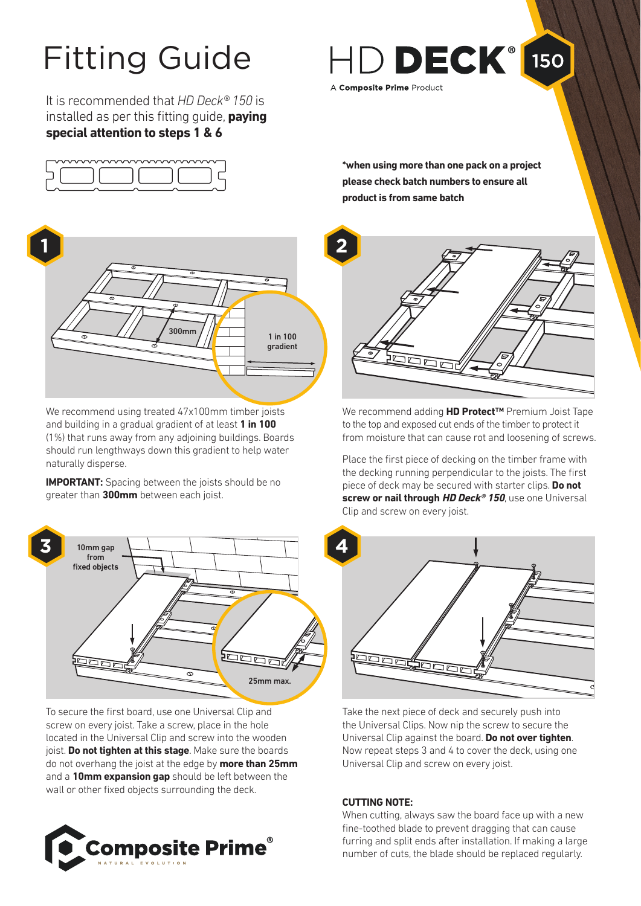# Fitting Guide

It is recommended that *HD Deck® 150* is installed as per this fitting guide, **paying special attention to steps 1 & 6**





We recommend using treated 47x100mm timber joists and building in a gradual gradient of at least **1 in 100**  (1%) that runs away from any adjoining buildings. Boards should run lengthways down this gradient to help water naturally disperse.

**IMPORTANT:** Spacing between the joists should be no greater than **300mm** between each joist.



To secure the first board, use one Universal Clip and screw on every joist. Take a screw, place in the hole located in the Universal Clip and screw into the wooden joist. **Do not tighten at this stage**. Make sure the boards do not overhang the joist at the edge by **more than 25mm** and a **10mm expansion gap** should be left between the wall or other fixed objects surrounding the deck.



A Composite Prime Product

**\*when using more than one pack on a project please check batch numbers to ensure all product is from same batch**

HD DECK<sup>®</sup> 150



We recommend adding **HD Protect™** Premium Joist Tape to the top and exposed cut ends of the timber to protect it from moisture that can cause rot and loosening of screws.

Place the first piece of decking on the timber frame with the decking running perpendicular to the joists. The first piece of deck may be secured with starter clips. **Do not screw or nail through HD Deck® 150**, use one Universal Clip and screw on every joist.



Take the next piece of deck and securely push into the Universal Clips. Now nip the screw to secure the Universal Clip against the board. **Do not over tighten**. Now repeat steps 3 and 4 to cover the deck, using one Universal Clip and screw on every joist.

# **CUTTING NOTE:**

When cutting, always saw the board face up with a new fine-toothed blade to prevent dragging that can cause furring and split ends after installation. If making a large number of cuts, the blade should be replaced regularly.